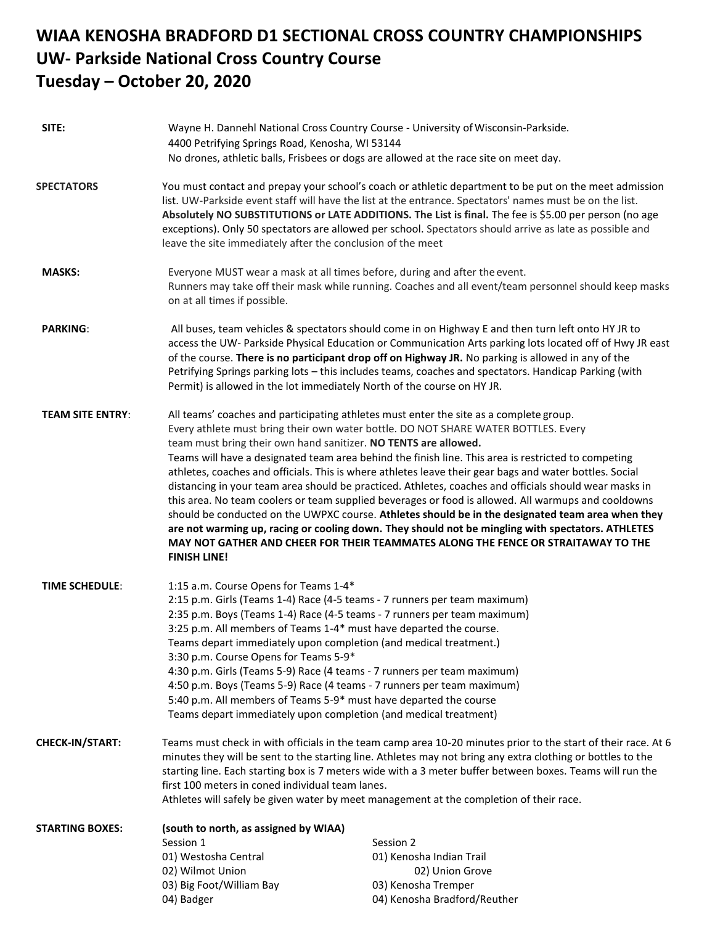## **WIAA KENOSHA BRADFORD D1 SECTIONAL CROSS COUNTRY CHAMPIONSHIPS UW- Parkside National Cross Country Course Tuesday – October 20, 2020**

| SITE:                   | Wayne H. Dannehl National Cross Country Course - University of Wisconsin-Parkside.<br>4400 Petrifying Springs Road, Kenosha, WI 53144                                                                                                                                                                                                                                                                                                                                                                                                                                                                                                                                                                                                                                                                                                                                                                                                                                                                    |                                                                                                                 |
|-------------------------|----------------------------------------------------------------------------------------------------------------------------------------------------------------------------------------------------------------------------------------------------------------------------------------------------------------------------------------------------------------------------------------------------------------------------------------------------------------------------------------------------------------------------------------------------------------------------------------------------------------------------------------------------------------------------------------------------------------------------------------------------------------------------------------------------------------------------------------------------------------------------------------------------------------------------------------------------------------------------------------------------------|-----------------------------------------------------------------------------------------------------------------|
|                         |                                                                                                                                                                                                                                                                                                                                                                                                                                                                                                                                                                                                                                                                                                                                                                                                                                                                                                                                                                                                          | No drones, athletic balls, Frisbees or dogs are allowed at the race site on meet day.                           |
| <b>SPECTATORS</b>       | You must contact and prepay your school's coach or athletic department to be put on the meet admission<br>list. UW-Parkside event staff will have the list at the entrance. Spectators' names must be on the list.<br>Absolutely NO SUBSTITUTIONS or LATE ADDITIONS. The List is final. The fee is \$5.00 per person (no age<br>exceptions). Only 50 spectators are allowed per school. Spectators should arrive as late as possible and<br>leave the site immediately after the conclusion of the meet                                                                                                                                                                                                                                                                                                                                                                                                                                                                                                  |                                                                                                                 |
| <b>MASKS:</b>           | Everyone MUST wear a mask at all times before, during and after the event.<br>Runners may take off their mask while running. Coaches and all event/team personnel should keep masks<br>on at all times if possible.                                                                                                                                                                                                                                                                                                                                                                                                                                                                                                                                                                                                                                                                                                                                                                                      |                                                                                                                 |
| <b>PARKING:</b>         | All buses, team vehicles & spectators should come in on Highway E and then turn left onto HY JR to<br>access the UW- Parkside Physical Education or Communication Arts parking lots located off of Hwy JR east<br>of the course. There is no participant drop off on Highway JR. No parking is allowed in any of the<br>Petrifying Springs parking lots - this includes teams, coaches and spectators. Handicap Parking (with<br>Permit) is allowed in the lot immediately North of the course on HY JR.                                                                                                                                                                                                                                                                                                                                                                                                                                                                                                 |                                                                                                                 |
| <b>TEAM SITE ENTRY:</b> | All teams' coaches and participating athletes must enter the site as a complete group.<br>Every athlete must bring their own water bottle. DO NOT SHARE WATER BOTTLES. Every<br>team must bring their own hand sanitizer. NO TENTS are allowed.<br>Teams will have a designated team area behind the finish line. This area is restricted to competing<br>athletes, coaches and officials. This is where athletes leave their gear bags and water bottles. Social<br>distancing in your team area should be practiced. Athletes, coaches and officials should wear masks in<br>this area. No team coolers or team supplied beverages or food is allowed. All warmups and cooldowns<br>should be conducted on the UWPXC course. Athletes should be in the designated team area when they<br>are not warming up, racing or cooling down. They should not be mingling with spectators. ATHLETES<br>MAY NOT GATHER AND CHEER FOR THEIR TEAMMATES ALONG THE FENCE OR STRAITAWAY TO THE<br><b>FINISH LINE!</b> |                                                                                                                 |
| <b>TIME SCHEDULE:</b>   | 1:15 a.m. Course Opens for Teams 1-4*<br>2:15 p.m. Girls (Teams 1-4) Race (4-5 teams - 7 runners per team maximum)<br>2:35 p.m. Boys (Teams 1-4) Race (4-5 teams - 7 runners per team maximum)<br>3:25 p.m. All members of Teams 1-4* must have departed the course.<br>Teams depart immediately upon completion (and medical treatment.)<br>3:30 p.m. Course Opens for Teams 5-9*<br>4:30 p.m. Girls (Teams 5-9) Race (4 teams - 7 runners per team maximum)<br>4:50 p.m. Boys (Teams 5-9) Race (4 teams - 7 runners per team maximum)<br>5:40 p.m. All members of Teams 5-9* must have departed the course<br>Teams depart immediately upon completion (and medical treatment)                                                                                                                                                                                                                                                                                                                         |                                                                                                                 |
| CHECK-IN/START:         | Teams must check in with officials in the team camp area 10-20 minutes prior to the start of their race. At 6<br>minutes they will be sent to the starting line. Athletes may not bring any extra clothing or bottles to the<br>starting line. Each starting box is 7 meters wide with a 3 meter buffer between boxes. Teams will run the<br>first 100 meters in coned individual team lanes.<br>Athletes will safely be given water by meet management at the completion of their race.                                                                                                                                                                                                                                                                                                                                                                                                                                                                                                                 |                                                                                                                 |
| <b>STARTING BOXES:</b>  | (south to north, as assigned by WIAA)<br>Session 1<br>01) Westosha Central<br>02) Wilmot Union<br>03) Big Foot/William Bay<br>04) Badger                                                                                                                                                                                                                                                                                                                                                                                                                                                                                                                                                                                                                                                                                                                                                                                                                                                                 | Session 2<br>01) Kenosha Indian Trail<br>02) Union Grove<br>03) Kenosha Tremper<br>04) Kenosha Bradford/Reuther |